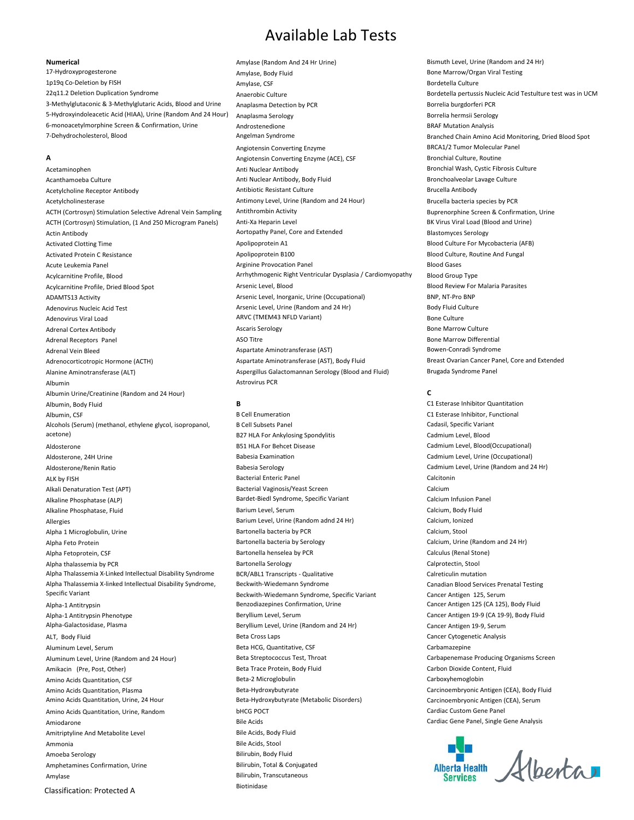17-Hydroxyprogesterone **Amylase, Body Fluid** Bone Marrow/Organ Viral Testing Amylase, Book Testing Amylase, Book Testing Amylase, Book Marrow/Organ Viral Testing 1p19q Co-Deletion by FISH Amylase, CSF Bordetella Culture 22q11.2 Deletion Duplication Syndrome **Anaerobic Culture** Anaerobic Culture **Bordetella pertussis Nucleic Acid Testulture test was in UCM** 3-Methylglutaconic & 3-Methylglutaric Acids, Blood and Urine Anaplasma Detection by PCR Borrelia burgdorferi PCR 5-Hydroxyindoleacetic Acid (HIAA), Urine (Random And 24 Hour) Anaplasma Serology **Bornelia hermsii Serology** Borrelia hermsii Serology 6-monoacetylmorphine Screen & Confirmation, Urine Androstenedione Analysis Androstenedione BRAF Mutation Analysis

Acanthamoeba Culture **Anti Nuclear Anti Nuclear Antibody, Body Fluid** Bronchoalveolar Lavage Culture Acetylcholine Receptor Antibody **Antibiotic Resistant Culture** Antibody **Antibiotic Resistant Culture** Brucella Antibody Acetylcholinesterase **Antimony Level, Urine (Random and 24 Hour)** Brucella bacteria species by PCR ACTH (Cortrosyn) Stimulation Selective Adrenal Vein Sampling Antithrombin Activity **Buprenorphine Screen & Confirmation**, Urine ACTH (Cortrosyn) Stimulation, (1 And 250 Microgram Panels) Anti-Xa Heparin Level BK Virus Viral Load (Blood and Urine) Actin Antibody **Aortopathy Panel, Core and Extended** Blastomyces Serology Activated Clotting Time **Activated Clotting Time** Apolipoprotein A1 Apolipoprotein A1 Blood Culture For Mycobacteria (AFB) Activated Protein C Resistance **Activates Concreted Apolipoprotein B100** Blood Culture, Routine And Fungal Acute Leukemia Panel **Arginine Provocation Panel Arginine Provocation Panel** Blood Gases Acylcarnitine Profile, Blood Arrhythmogenic Right Ventricular Dysplasia / Cardiomyopathy Acylcarnitine Profile, Dried Blood Spot **Arsenic Level, Blood** Blood Blood Blood Review For Malaria Parasites ADAMTS13 Activity Arsenic Level, Inorganic, Urine (Occupational) BNP, NT-Pro BNP Adenovirus Nucleic Acid Test **Arsenic Level, Urine (Random and 24 Hr**) Body Fluid Culture Adenovirus Viral Load ARVC (TMEM43 NFLD Variant) Bone Culture Adrenal Cortex Antibody **Ascaris Serology** Ascaris Serology **Ascaris Serology Bone Marrow Culture** Adrenal Receptors Panel **ASO Titre** ASO Titre **ASO Titre** ASO Titre **Bone Marrow Differential** Adrenal Vein Bleed **Aspartate Aminotransferase (AST)** Bowen-Conradi Syndrome Bowen-Conradi Syndrome Adrenocorticotropic Hormone (ACTH) Aspartate Aminotransferase (AST), Body Fluid Breast Ovarian Cancer Panel, Core and Extended Alanine Aminotransferase (ALT) Aspergillus Galactomannan Serology (Blood and Fluid) Brugada Syndrome Panel Albumin Astrovirus PCR Albumin Urine/Creatinine (Random and 24 Hour) COMEXALE STATES AND THE STATES OF CONSUMING CONSUMING CONSUMING CONSUMING CONSUMING CONSUMING CONSUMING CONSUMING CONSUMING CONSUMING CONSUMING CONSUMING CONSUMING CONSUMING CO Albumin, Body Fluid **B** B C1 Esterase Inhibitor Quantitation Albumin, CSF **CELL Enumeration** B Cell Enumeration C1 Esterase Inhibitor, Functional Aldosterone **B51 HLA For Behcet Disease** B51 HLA For Behcet Disease Cadmium Level, Blood(Occupational) Aldosterone, 24H Urine Cadmium Level, Urine Gocupational) Babesia Examination Cadmium Cadmium Level, Urine (Occupational) Aldosterone/Renin Ratio **Babesia Serology** Babesia Serology **Cadmium Level, Urine (Random and 24 Hr)** Cadmium Level, Urine (Random and 24 Hr) ALK by FISH Bacterial Enteric Panel Calcitonin Alkali Denaturation Test (APT) Bacterial Vaginosis/Yeast Screen Calcium Alkaline Phosphatase (ALP) Bardet-Biedl Syndrome, Specific Variant Calcium Infusion Panel Alkaline Phosphatase, Fluid Barium Level, Serum Calcium, Body Fluid Allergies Barium Level, Urine (Random adnd 24 Hr) Calcium, Ionized Alpha 1 Microglobulin, Urine Bartonella bacteria by PCR Calcium, Stool Alpha Feto Protein Bartonella bacteria by Serology Calcium, Urine (Random and 24 Hr) Alpha Fetoprotein, CSF **Bartonella henselea by PCR** Calculus (Renal Stone) Calculus (Renal Stone) Alpha thalassemia by PCR **Bartonella Serology Bartonella Serology** Calprotectin, Stool Alpha Thalassemia X-Linked Intellectual Disability Syndrome BCR/ABL1 Transcripts - Qualitative Calreticulin mutation Alpha-1 Antitrypsin Benzodiazepines Confirmation, Urine Cancer Antigen 125 (CA 125), Body Fluid Alpha-1 Antitrypsin Phenotype **Beryllium Level, Serum** Beryllium Level, Serum Cancer Antigen 19-9 (CA 19-9), Body Fluid Alpha-Galactosidase, Plasma **Beryllium Level, Urine (Random and 24 Hr**) Cancer Antigen 19-9, Serum Cancer Antigen 19-9, Serum ALT, Body Fluid **Beta Cross Laps Cancer Cytogenetic Analysis** Beta Cross Laps Cancer Cytogenetic Analysis Aluminum Level, Serum Beta HCG, Quantitative, CSF Carbamazepine Aluminum Level, Urine (Random and 24 Hour) Beta Streptococcus Test, Throat Carbapenemase Producing Organisms Screen Amikacin (Pre, Post, Other) **Beta Trace Protein, Body Fluid** Carbon Dioxide Content, Fluid Carbon Dioxide Content, Fluid Amino Acids Quantitation, CSF and the Carboxyhemoglobin Beta-2 Microglobulin Carboxyhemoglobin Carboxyhemoglobin Amino Acids Quantitation, Plasma Carcinoembryonic Antigen (CEA), Body Fluid Beta-Hydroxybutyrate Carcinoembryonic Antigen (CEA), Body Fluid Amino Acids Quantitation, Urine, 24 Hour Beta-Hydroxybutyrate (Metabolic Disorders) Carcinoembryonic Antigen (CEA), Serum Amino Acids Quantitation, Urine, Random **bHCG POCT** bHCG POCT **Cardiac Custom Gene Panel** Cardiac Custom Gene Panel Amiodarone Bile Acids Cardiac Gene Panel, Single Gene Analysis Amitriptyline And Metabolite Level **Bile Acids**, Body Fluid Ammonia Bile Acids, Stool Amoeba Serology **Bilirubin, Body Fluid** Amphetamines Confirmation, Urine **Biling and Solution** Bilirubin, Total & Conjugated Amylase Bilirubin, Transcutaneous Alcohols (Serum) (methanol, ethylene glycol, isopropanol, acetone) Alpha Thalassemia X-linked Intellectual Disability Syndrome, Specific Variant

Classification: Protected A

Numerical **Amylase (Random And 24 Hr Urine)** Bismuth Level, Urine (Random and 24 Hr) 7-Dehydrocholesterol, Blood Angelman Syndrome Branched Chain Amino Acid Monitoring, Dried Blood Spot Angiotensin Converting Enzyme **BRCA1/2 Tumor Molecular Panel** A COMEX Angiotensin Converting Enzyme (ACE), CSF Bronchial Culture, Routine Acetaminophen Anti Nuclear Antibody Bronchial Wash, Cystic Fibrosis Culture Arsenic Level, Blood

B Cell Subsets Panel **Canadia** Cadasil, Specific Variant B27 HLA For Ankylosing Spondylitis Cadmium Level, Blood Beckwith-Wiedemann Syndrome Canadian Blood Services Prenatal Testing Beckwith-Wiedemann Syndrome, Specific Variant Cancer Antigen 125, Serum Biotinidase

Blood Group Type

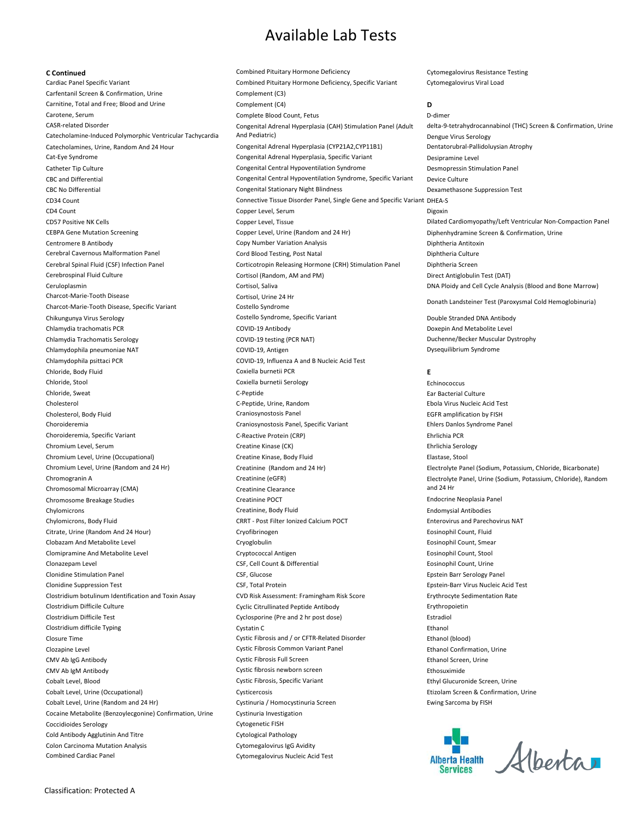Cardiac Panel Specific Variant Combined Pituitary Hormone Deficiency, Specific Variant Cytomegalovirus Viral Load Carfentanil Screen & Confirmation, Urine Complement (C3) Carnitine, Total and Free; Blood and Urine Complement (C4) Complement (C4) D Carotene, Serum Complete Blood Count, Fetus D-dimer Catecholamine-Induced Polymorphic Ventricular Tachycardia And Pediatric) and the state of the Dengue Virus Serology Catecholamines, Urine, Random And 24 Hour Congenital Adrenal Hyperplasia (CYP21A2,CYP11B1) Dentatorubral-Pallidoluysian Atrophy Cat-Eye Syndrome Congenital Adrenal Hyperplasia, Specific Variant Desipramine Level Catheter Tip Culture Congenital Central Hypoventilation Syndrome Desmopressin Stimulation Panel CBC and Differential Congenital Central Hypoventilation Syndrome, Specific Variant Device Culture CBC No Differential Congenital Stationary Night Blindness Dexamethasone Suppression Test CD34 Count Connective Tissue Disorder Panel, Single Gene and Specific Variant DHEA-S CD4 Count Copper Level, Serum Digoxin CEBPA Gene Mutation Screening The Copper Level, Urine (Random and 24 Hr) Diphenhydramine Screen & Confirmation, Urine Centromere B Antibody Copy Number Variation Analysis Diphtheria Antitoxin Cerebral Cavernous Malformation Panel Cord Cord Blood Testing, Post Natal Cavernous Malformation Panel Diphtheria Culture Cerebral Spinal Fluid (CSF) Infection Panel Corticotropin Releasing Hormone (CRH) Stimulation Panel Diphtheria Screen Cerebrospinal Fluid Culture Cortisol (Random, AM and PM) Direct Antiglobulin Test (DAT) Charcot-Marie-Tooth Disease Cortisol, Urine 24 Hr Charcot-Marie-Tooth Disease, Specific Variant Costello Syndrome Chikungunya Virus Serology **Chikungunya Virus Serology** Costello Syndrome, Specific Variant Double Stranded DNA Antibody Chlamydia trachomatis PCR COVID-19 Antibody Doxepin And Metabolite Level Chlamydia Trachomatis Serology **COVID-19** testing (PCR NAT) Duchenne/Becker Muscular Dystrophy Chlamydophila pneumoniae NAT **COVID-19, Antigen** COVID-19, Antigen Dysequilibrium Syndrome Chlamydophila psittaci PCR COVID-19, Influenza A and B Nucleic Acid Test Chloride, Body Fluid Coxiella burnetii PCR E Chloride, Stool Coxiella burnetii Serology Echinococcus Cholesterol C-Peptide, Urine, Random Ebola Virus Nucleic Acid Test Cholesterol, Body Fluid Craniosynostosis Panel EGFR amplification by FISH Choroideremia Craniosynostosis Panel, Specific Variant Ehlers Danlos Syndrome Panel Choroideremia, Specific Variant C-Reactive Protein (CRP) Ehrlichia PCR Chromium Level, Serum Creatine Kinase (CK) Ehrlichia Serology Chromium Level, Urine (Occupational) Creatine Kinase, Body Fluid Elastase, Stool Chromogranin A Creatinine (eGFR) Chromosomal Microarray (CMA) Chromosomal Creatinine Clearance Chromosome Breakage Studies **Chromosome Breakage Studies** Creatinine POCT **Creatinine POCT Endocrine Neoplasia Panel** Chylomicrons Creatinine, Body Fluid Endomysial Antibodies Chylomicrons, Body Fluid CRRT - Post Filter Ionized Calcium POCT Enterovirus and Parechovirus NAT Citrate, Urine (Random And 24 Hour) Cryofibrinogen Eosinophil Count, Fluid Clobazam And Metabolite Level Cryoglobulin Eosinophil Count, Smear Clomipramine And Metabolite Level Cryptococcal Antigen Eosinophil Count, Stool Clonazepam Level CSF, Cell Count & Differential Eosinophil Count, Urine Clonidine Stimulation Panel CSF, Glucose Epstein Barr Serology Panel Clonidine Suppression Test CSF, Total Protein Epstein-Barr Virus Nucleic Acid Test Clostridium botulinum Identification and Toxin Assay CVD Risk Assessment: Framingham Risk Score Erythrocyte Sedimentation Rate Clostridium Difficile Culture Cyclic Citrullinated Peptide Antibody Erythropoietin Clostridium Difficile Test Cyclosporine (Pre and 2 hr post dose) Estradiol Clostridium difficile Typing Cystatin C Ethanol Closure Time Cystic Fibrosis and / or CFTR-Related Disorder Ethanol (blood) Clozapine Level Cystic Fibrosis Common Variant Panel Ethanol Confirmation, Urine CMV Ab IgG Antibody Cystic Fibrosis Full Screen Ethanol Screen, Urine CMV Ab IgM Antibody Cystic fibrosis newborn screen Ethosuximide Cobalt Level, Blood Cystic Fibrosis, Specific Variant Ethyl Glucuronide Screen, Urine Cobalt Level, Urine (Occupational) and Cysticercosis Cobalt Level, Urine Confirmation, Urine Confirmation, Urine Cobalt Level, Urine (Random and 24 Hr) Cystinuria / Homocystinuria Screen Ewing Sarcoma by FISH Cocaine Metabolite (Benzoylecgonine) Confirmation, Urine Cystinuria Investigation Coccidioides Serology Cytogenetic FISH Cold Antibody Agglutinin And Titre Cytological Pathology Colon Carcinoma Mutation Analysis **Cytomegalovirus IgG Avidity** Cytomegalovirus IgG Avidity Combined Cardiac Panel **Cytomegalovirus Nucleic Acid Test** 

C Continued Combined Pituitary Hormone Deficiency Cytomegalovirus Resistance Testing Chloride, Sweat C-Peptide Ear Bacterial Culture Congenital Adrenal Hyperplasia (CAH) Stimulation Panel (Adult And Pediatric)

CASR-related Disorder **CASP-related Disorder** delta-9-tetrahydrocannabinol (THC) Screen & Confirmation, Urine CD57 Positive NK Cells Copper Level, Tissue Dilated Cardiomyopathy/Left Ventricular Non-Compaction Panel Ceruloplasmin **Cortisol, Saliva** Cortisol, Saliva Cortisol, DNA Ploidy and Cell Cycle Analysis (Blood and Bone Marrow)

Donath Landsteiner Test (Paroxysmal Cold Hemoglobinuria)

Chromium Level, Urine (Random and 24 Hr) Creatinine (Random and 24 Hr) Electrolyte Panel (Sodium, Potassium, Chloride, Bicarbonate) Electrolyte Panel, Urine (Sodium, Potassium, Chloride), Random and 24 Hr

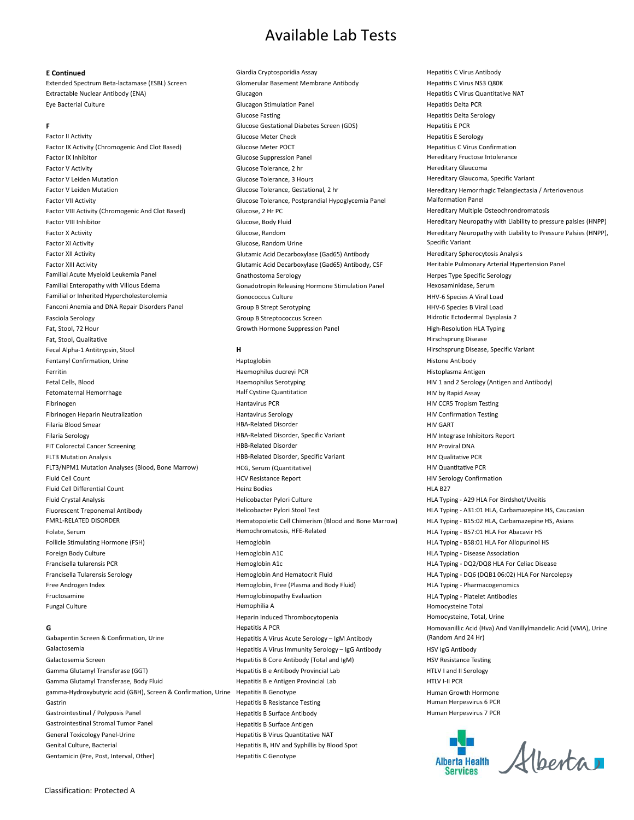### E Continued Giardia Cryptosporidia Assay Hepatitis C Virus Antibody

Factor IX Activity (Chromogenic And Clot Based) **Glucose Meter POCT** and Meter Poct and Meter Poct And Meter Poct And The Hepatitius C Virus Confirmation Factor IX Inhibitor **Factor IX Inhibitor** Glucose Suppression Panel **Hereditary Fructose Intolerance** Factor V Activity **Factor V Activity** Glucose Tolerance, 2 hr **Hereditary Glaucoma** Hereditary Glaucoma **Glucose Tolerance**, 2 hr Factor V Leiden Mutation **Factor Constructs** Glucose Tolerance, 3 Hours Hereditary Glaucoma, Specific Variant Factor V Leiden Mutation Glucose Tolerance, Gestational, 2 hr Factor VII Activity Glucose Tolerance, Postprandial Hypoglycemia Panel Factor VIII Activity (Chromogenic And Clot Based) Glucose, 2 Hr PC Hereditary Multiple Osteochrondromatosis Factor X Activity **Factor X Activity Glucose**, Random Factor XI Activity **Factor XI Activity Glucose, Random Urine** Factor XII Activity **Glutamic Acid Decarboxylase (Gad65)** Antibody **Hereditary Spherocytosis Analysis** Glutamic Acid Decarboxylase (Gad65) Antibody Factor XIII Activity **Subsetive Acid Decarboxylase (Gad65)** Antibody, CSF **Heritable Pulmonary Arterial Hypertension Panel** Familial Acute Myeloid Leukemia Panel **Familial Acute Myeloid Leukemia Panel Acute** Carology **Herpes Type Specific Serology** Familial Enteropathy with Villous Edema Gonadotropin Releasing Hormone Stimulation Panel Hexosaminidase, Serum Familial or Inherited Hypercholesterolemia entity of the Gonococcus Culture Conococcus Culture HHV-6 Species A Viral Load Fanconi Anemia and DNA Repair Disorders Panel Group B Strept Serotyping Herotyping HHV-6 Species B Viral Load Fasciola Serology Group B Streptococcus Screen Hidrotic Ectodermal Dysplasia 2 Fat, Stool, 72 Hour Case of the Growth Hormone Suppression Panel Face of High-Resolution HLA Typing Fat, Stool, Qualitative **Hirschsprung Disease** Hirschsprung Disease **Hirschsprung Disease** Fecal Alpha-1 Antitrypsin, Stool **Hirschsprung Disease, Specific Variant** Hirschsprung Disease, Specific Variant Fentanyl Confirmation, Urine The Haptoglobin Haptoglobin Haptoglobin Histone Antibody

Gabapentin Screen & Confirmation, Urine Hepatitis A Virus Acute Serology – IgM Antibody Galactosemia **Example 2** Term in the Hepatitis A Virus Immunity Serology – IgG Antibody Francisco HSV IgG Antibody Galactosemia Screen **Hepatitis B Core Antibody (Total and IgM)** HSV Resistance Testing Gamma Glutamyl Transferase (GGT) **Hepatitis Be Antibody Provincial Lab** HTLV I and II Serology Gamma Glutamyl Transferase, Body Fluid Hepatitis B e Antigen Provincial Lab HTLV I-II PCR gamma-Hydroxybutyric acid (GBH), Screen & Confirmation, Urine Hepatitis B Genotype Human Growth Hormone Human Growth Hormone Gastrin **Hepatitis B Resistance Testing** Human Herpesvirus 6 PCR and Human Herpesvirus 6 PCR Gastrointestinal / Polyposis Panel **Hepatitis B** Surface Antibody **Hepatitis B Surface Antibody** Human Herpesvirus 7 PCR Gastrointestinal Stromal Tumor Panel **Hepatitis B** Surface Antigen General Toxicology Panel-Urine **Hepatitis B** Virus Quantitative NAT Genital Culture, Bacterial **Hepatitis B, HIV and Syphillis by Blood Spot** Hepatitis B, HIV and Syphillis by Blood Spot Gentamicin (Pre, Post, Interval, Other) Manuel Alexander Hepatitis C Genotype

Extended Spectrum Beta-lactamase (ESBL) Screen Glomerular Basement Membrane Antibody Hepatitis C Virus NS3 Q80K Extractable Nuclear Antibody (ENA) **Glucagon** Glucagon Glucagon Hepatitis C Virus Quantitative NAT Eye Bacterial Culture **Glucagon Stimulation Panel Figure 2016** Hepatitis Delta PCR Glucose Fasting **Hepatitis Delta Serology** F Glucose Gestational Diabetes Screen (GDS) Hepatitis E PCR Factor II Activity **Factor II Activity Glucose Meter Check Hepatitis Exerology Hepatitis Exerology** 

Ferritin **Example 20 Territin** Haemophilus ducreyi PCR **Histoplasma Antigen** Histoplasma Antigen Fetal Cells, Blood **Figure 1 and Antibody** HIV 1 and 2 Serology (Antigen and Antibody) HIV 1 and 2 Serology (Antigen and Antibody) Fetomaternal Hemorrhage Theory and Theory Half Cystine Quantitation Theory and HIV by Rapid Assay Fibrinogen **Hantavirus PCR** Hantavirus PCR **Highland** Hantavirus PCR **HIV CCR5 Tropism Testing** Fibrinogen Heparin Neutralization **Hantavirus Serology** Hantavirus Serology **Hantavirus Serology** Hill Confirmation Testing Filaria Blood Smear New York Christian Hill Garten Hill Garten Hill Garten Hill Garten Hill Garten Hill Garten Hill Garten Hill Garten Hill Garten Hill Garten Hill Garten Hill Garten Hill Garten Hill Garten Hill Garten Hil Filaria Serology **Filaria Serology** HBA-Related Disorder, Specific Variant **HIV** Integrase Inhibitors Report FIT Colorectal Cancer Screening The Structure of the HBB-Related Disorder HIV Proviral DNA HIV Proviral DNA FLT3 Mutation Analysis **HBB-Related Disorder, Specific Variant** HIV Qualitative PCR FLT3/NPM1 Mutation Analyses (Blood, Bone Marrow) HCG, Serum (Quantitative) HIV Quantitative PCR Fluid Cell Count **HEV Resistance Report HEV Resistance Report HIV Serology Confirmation** Fluid Cell Differential Count Heinz Bodies HLA B27 Fluid Crystal Analysis **Helicobacter Pylori Culture** Helicobacter Pylori Culture Hull Typing - A29 HLA For Birdshot/Uveitis Fluorescent Treponemal Antibody **Helicobacter Pylori Stool Test** Helicobacter Pylori Stool Test HEA Typing - A31:01 HLA, Carbamazepine HS, Caucasian FMR1-RELATED DISORDER Hematopoietic Cell Chimerism (Blood and Bone Marrow) HLA Typing - B15:02 HLA, Carbamazepine HS, Asians Folate, Serum Hemochromatosis, HFE-Related HLA Typing - B57:01 HLA For Abacavir HS Follicle Stimulating Hormone (FSH) **Hemoglobin** Hemoglobin Hemoglobin Hemoglobin Hemoglobin Hemoglobin Hemoglobin Hemoglobin Hemoglobin Hemoglobin Hemoglobin Hemoglobin Hemoglobin Hemoglobin Hemoglobin Hemoglobin Hemoglobi Foreign Body Culture **Hemoglobin A1C** Hemoglobin A1C **Hemoglobin A1C** HEA Typing - Disease Association Francisella tularensis PCR **Hemoglobin A1c** Hemoglobin A1c Hemoglobin A1c Hemoglobin A1c Hemoglobin A1c Hemoglobin A1c Hemoglobin A1c Hemoglobin A1c Hemoglobin A1c Hemoglobin A1c Hemoglobin A1c Hemoglobin A1c Hemoglobin A1 Francisella Tularensis Serology **Hemoglobin And Hematocrit Fluid** HLA Typing - DQ6 (DQB1 06:02) HLA For Narcolepsy Free Androgen Index **Hemoglobin, Free (Plasma and Body Fluid)** HLA Typing - Pharmacogenomics Fructosamine **Hemoglobinopathy Evaluation** Hemoglobinopathy Evaluation **HLA Typing - Platelet Antibodies** Fungal Culture **Hemophilia A** Homocysteine Total Homocysteine Total Homocysteine Total Homocysteine Total Homocysteine Total Heparin Induced Thrombocytopenia https://www.mateur.com/mocysteine, Total, Urine G Hepatitis A PCR

Factor VIII Inhibitor **Factor Clucose, Booky Fluid** Glucose, Body Fluid Hereditary Neuropathy with Liability to pressure palsies (HNPP) Hereditary Hemorrhagic Telangiectasia / Arteriovenous Malformation Panel Hereditary Neuropathy with Liability to Pressure Palsies (HNPP), Specific Variant Homovanillic Acid (Hva) And Vanillylmandelic Acid (VMA), Urine (Random And 24 Hr)



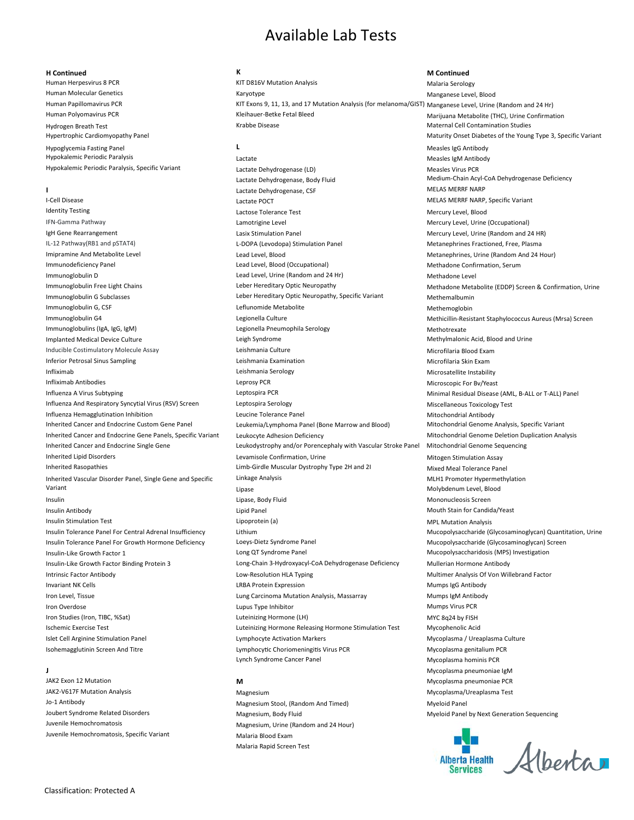# Hypoglycemia Fasting Panel **Community Community Community Community** Community Community Community Community Community Community Community Community Community Community Community Community Community Community Community Com

### Identity Testing and the Lactose Tolerance Test Controller Controller Mercury Level, Blood Lactose Tolerance Test IFN-Gamma Pathway Lamotrigine Level Mercury Level, Urine (Occupational) IgH Gene Rearrangement **Lasix Stimulation Panel** Lasix Stimulation Panel Mercury Level, Urine (Random and 24 HR) IL-12 Pathway(RB1 and pSTAT4) **Legal and pSTAT4** Levodopa) Stimulation Panel Metanephrines Fractioned, Free, Plasma Imipramine And Metabolite Level Level Lead Level, Blood Lead Level, Blood Metanephrines, Urine (Random And 24 Hour) Immunodeficiency Panel **Lead Level, Blood (Occupational)** Methadone Confirmation, Serum Immunoglobulin D **Immunoglobulin D** Lead Level, Urine (Random and 24 Hr) Methadone Level Immunoglobulin G Subclasses Leber Hereditary Optic Neuropathy, Specific Variant Methemalbumin Immunoglobulin G, CSF and the CSF Leflunomide Metabolite and the Methemoglobin Methemoglobin Immunoglobulins (IgA, IgG, IgM) and the Communication of Legionella Pneumophila Serology and Methotrexate Implanted Medical Device Culture Leigh Syndrome Leigh Syndrome Leigh Syndrome Methylmalonic Acid, Blood and Urine Inducible Costimulatory Molecule Assay **Microfilaria Blood Exam** Leishmania Culture **Microfilaria Blood Exam** Microfilaria Blood Exam Inferior Petrosal Sinus Sampling The Communication Leishmania Examination Communication Microfilaria Skin Exam Infliximab Leishmania Serology Microsatellite Instability Infliximab Antibodies **State Antibodies** Leprosy PCR Communications and Microscopic For Bv/Yeast Influenza A Virus Subtyping Minimal Residual Disease (AML, B-ALL or T-ALL) Panel Residual Disease (AML, B-ALL or T-ALL) Panel Influenza And Respiratory Syncytial Virus (RSV) Screen Leptospira Serology Miscology Test Miscellaneous Toxicology Test Influenza Hemagglutination Inhibition **Communistion Leucine Tolerance Panel** Communistic Communistic Mitochondrial Antibody Inherited Cancer and Endocrine Custom Gene Panel Leukemia/Lymphoma Panel (Bone Marrow and Blood) Mitochondrial Genome Analysis, Specific Variant Inherited Cancer and Endocrine Gene Panels, Specific Variant Leukocyte Adhesion Deficiency Mitochondrial Genome Deletion Duplication Analysis Inherited Cancer and Endocrine Single Gene Leukodystrophy and/or Porencephaly with Vascular Stroke Panel Mitochondrial Genome Sequencing Inherited Lipid Disorders **Levamisole Confirmation, Urine** Mitogen Stimulation Assay Inherited Rasopathies Limb-Girdle Muscular Dystrophy Type 2H and 2I Mixed Meal Tolerance Panel Insulin External Lipase, Body Fluid Mononucleosis Screen Mononucleosis Screen Lipase, Body Fluid Insulin Antibody Lipid Panel Mouth Stain for Candida/Yeast Insulin Stimulation Test **Analysis** Lipoprotein (a) Compared Lipoprotein (a) MPL Mutation Analysis Insulin Tolerance Panel For Growth Hormone Deficiency Loeys-Dietz Syndrome Panel Mucopolysaccharide (Glycosaminoglycan) Screen Insulin-Like Growth Factor 1 **State 1 Long QT Syndrome Panel** Mucopolysaccharidosis (MPS) Investigation Insulin-Like Growth Factor Binding Protein 3 Long-Chain 3-Hydroxyacyl-CoA Dehydrogenase Deficiency Mullerian Hormone Antibody Intrinsic Factor Antibody **Low-Resolution HLA Typing** Multimer Analysis Of Von Willebrand Factor Invariant NK Cells **Cells** LRBA Protein Expression **CELLS** LRBA Protein Expression **CELLS** Mumps IgG Antibody Iron Level, Tissue **Lung Carcinoma Mutation Analysis, Massarray** Mumps IgM Antibody **Mumps IgM Antibody** Iron Overdose **Internal and Separate Lupus Type Inhibitor** Cupus Type Inhibitor CRL 2009 and Mumps Virus PCR Iron Studies (Iron, TIBC, %Sat) Contract the Cuteinizing Hormone (LH) MIC 8q24 by FISH Ischemic Exercise Test Luteinizing Hormone Releasing Hormone Stimulation Test Mycophenolic Acid Inherited Vascular Disorder Panel, Single Gene and Specific Variant

JAK2-V617F Mutation Analysis Magnesium Mycoplasma/Ureaplasma Test Juvenile Hemochromatosis **Magnesium, Urine (Random and 24 Hour)** Magnesium, Urine (Random and 24 Hour) Juvenile Hemochromatosis, Specific Variant Malaria Blood Exam

Human Herpesvirus 8 PCR **KIT D816V Mutation Analysis** Malaria Serology Malaria Serology Human Molecular Genetics **Manganese Level, Blood** Karyotype **Manganese Level, Blood** Human Papillomavirus PCR KIT Exons 9, 11, 13, and 17 Mutation Analysis (for melanoma/GIST) Manganese Level, Urine (Random and 24 Hr) Human Polyomavirus PCR **Marijuan Polyomavirus PCR** Kleihauer-Betke Fetal Bleed Marijuana Metabolite (THC), Urine Confirmation Hydrogen Breath Test Krabbe Disease Maternal Cell Contamination Studies

Hypokalemic Periodic Paralysis **Action** Lactate Lactate Action Action Action Action Action Action Action Action A Hypokalemic Periodic Paralysis, Specific Variant Lactate Dehydrogenase (LD) Measles Virus PCR Measles Virus PCR Lactate Dehydrogenase, Body Fluid Medium-Chain Acyl-CoA Dehydrogenase Deficiency I<br>I Lactate Dehydrogenase, CSF External of the MELAS MERRF NARP (NELS MERRF NARP) (Set and the port of the port <br>I actate POCT (Set and the port of the port of the port of the port of the material of the material of the ma Lactate POCT and a set of the MELAS MERRF NARP, Specific Variant Linkage Analysis and the matrix of the MLH1 Promoter Hypermethylation Lipase Molybdenum Level, Blood Islet Cell Arginine Stimulation Panel **Channel Communisty Communisty Communisty** Cymphocyte Activation Markers Mycoplasma Mycoplasma / Ureaplasma Culture Isohemagglutinin Screen And Titre **Lymphocytic Choriomeningitis Virus PCR** Mycoplasma genitalium PCR Lynch Syndrome Cancer Panel Mycoplasma hominis PCR

Jo-1 Antibody Magnesium Stool, (Random And Timed) Myeloid Panel Malaria Rapid Screen Test

### H Continued **M** Continued **M** Continued **M** Continued **M** Continued **M** Continued

Hypertrophic Cardiomyopathy Panel Maturity Onset Diabetes of the Young Type 3, Specific Variant Immunoglobulin Free Light Chains **Leber Hereditary Optic Neuropathy** Methadone Methadone Metabolite (EDDP) Screen & Confirmation, Urine Immunoglobulin G4 **Methicillin-Resistant Staphylococcus Aureus** (Mrsa) Screen Methicillin-Resistant Staphylococcus Aureus (Mrsa) Screen Insulin Tolerance Panel For Central Adrenal Insufficiency Lithium Lithium Mucopolysaccharide (Glycosaminoglycan) Quantitation, Urine J Mycoplasma pneumoniae IgM JAK2 Exon 12 Mutation and the control of the Mycoplasma pneumoniae PCR and the Mycoplasma pneumoniae PCR Joubert Syndrome Related Disorders Magnesium, Body Fluid Magnesium, Body Fluid Myeloid Panel by Next Generation Sequencing

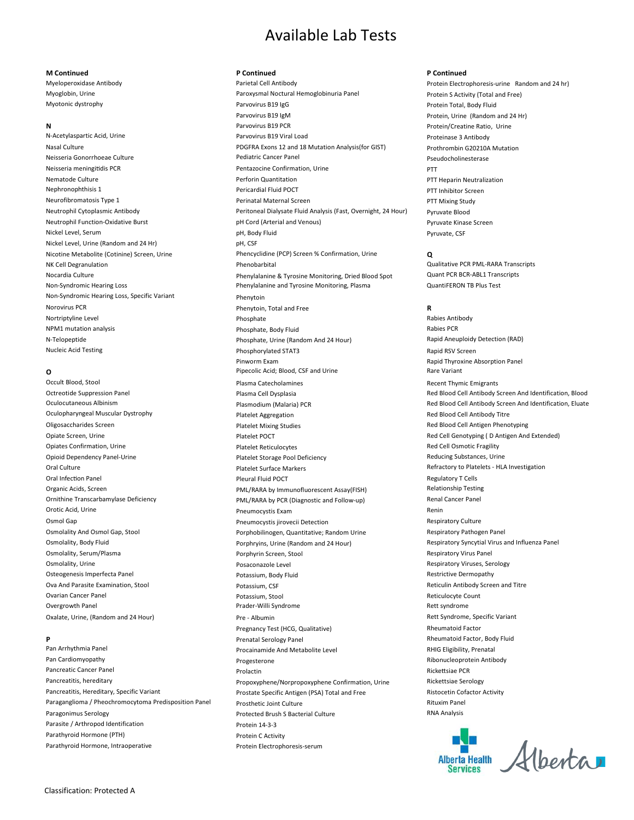### M Continued P Continued P Continued

Nickel Level, Urine (Random and 24 Hr) pH, CSF Non-Syndromic Hearing Loss, Specific Variant Phenytoin

Pancreatic Cancer Panel **Properties and Cancer Properties and Properties** Properties are properties and Properties PCR Pancreatitis, hereditary **Propoxyphene/Norpropoxyphene** Confirmation, Urine Rickettsiae Serology Pancreatitis, Hereditary, Specific Variant Prostate Specific Antigen (PSA) Total and Free Ristocetin Cofactor Activity Paraganglioma / Pheochromocytoma Predisposition Panel Prosthetic Joint Culture Prosthetic Interventional Prosthetic Joint Culture Rituxim Panel Paragonimus Serology **RICE 2020** Protected Brush S Bacterial Culture **RICE 2020** RNA Analysis Parasite / Arthropod Identification Protein 14-3-3 Parathyroid Hormone (PTH) Protein C Activity Parathyroid Hormone, Intraoperative **Protein Electrophoresis-serum** 

Myoglobin, Urine **Paroxysmal Noctural Hemoglobinuria Panel** Protein S Activity (Total and Free) Myotonic dystrophy example and the Parvovirus B19 IgG Protein Total, Body Fluid Protein Total, Body Fluid Parvovirus B19 IgM Protein, Urine (Random and 24 Hr) n Parvovirus B19 PCR Protein/Creatine Ratio, Urine Protein/Creatine Ratio, Urine N-Acetylaspartic Acid, Urine et al. (2011) Parvovirus B19 Viral Load Proteinase 3 Antibody Proteinase 3 Antibody Nasal Culture **PDGFRA Exons 12 and 18 Mutation Analysis** (for GIST) Prothrombin G20210A Mutation Neisseria Gonorrhoeae Culture **Pediatric Cancer Panel Pediatric Cancer Panel** Pseudocholinesterase **Pseudocholinesterase** Neisseria meningitidis PCR **Pentazocine Confirmation, Urine** PTT Nematode Culture **Network Culture Perform Cuantitation** Perform Quantitation **PERFORM PERFORM PTT Heparin Neutralization** Nephronophthisis 1 **Pericardial Fluid POCT** PTT Inhibitor Screen PTT Inhibitor Screen Neurofibromatosis Type 1 **Perinatal Maternal Screen** PTT Mixing Study PTT Mixing Study Neutrophil Cytoplasmic Antibody Peritoneal Dialysate Fluid Analysis (Fast, Overnight, 24 Hour) Pyruvate Blood Neutrophil Function-Oxidative Burst pH Cord (Arterial and Venous) Pyruvate Kinase Screen Nickel Level, Serum and the service of the service of the pH, Body Fluid Pyruvate, CSF and Pyruvate, CSF and Pyruvate, CSF Nicotine Metabolite (Cotinine) Screen, Urine Phencyclidine (PCP) Screen % Confirmation, Urine Q NK Cell Degranulation **Phenobarbital** Phenobarbital **Phenobarbital** Qualitative PCR PML-RARA Transcripts Nocardia Culture **Phenylalanine & Tyrosine Monitoring, Dried Blood Spot** Quant PCR BCR-ABL1 Transcripts Non-Syndromic Hearing Loss Phenylalanine and Tyrosine Monitoring, Plasma QuantiFERON TB Plus Test Norovirus PCR **R** Phenytoin, Total and Free **R** Phenytoin, Total and Free R **R** Nortriptyline Level Phosphate Rabies Antibody NPM1 mutation analysis example and the state of the phosphate, Body Fluid Rabies PCR abies PCR N-Telopeptide **Phosphate, Urine (Random And 24 Hour)** Rapid Aneuploidy Detection (RAD) Rapid Aneuploidy Detection (RAD) Nucleic Acid Testing **Phosphorylated STAT3** Rapid RSV Screen Rapid RSV Screen Pinworm Exam **Rapid Thyroxine Absorption Panel O Pipecolic Acid; Blood, CSF and Urine Rare Variant Rare Variant** Occult Blood, Stool **Stool Plasma Catecholamines** Plasma Catecholamines Recent Thymic Emigrants Octreotide Suppression Panel **Plasma Cell Dysplasia** Plasma Cell Dysplasia Red Blood Cell Antibody Screen And Identification, Blood Cell Antibody Screen And Identification, Blood Oculocutaneous Albinism **Plasmodium (Malaria) PCR** Red Blood Cell Antibody Screen And Identification, Eluate Oculopharyngeal Muscular Dystrophy **Platelet Aggregation** Platelet Aggregation Red Blood Cell Antibody Titre Oligosaccharides Screen **Platelet Mixing Studies** Platelet Mixing Studies **Red Blood Cell Antigen Phenotyping** Opiate Screen, Urine **Platelet POCT** Platelet POCT **Platelet POCT** Red Cell Genotyping ( D Antigen And Extended) Opiates Confirmation, Urine **Network:** Platelet Reticulocytes **Red Cell Osmotic Fragility** Red Cell Osmotic Fragility Opioid Dependency Panel-Urine **Properties Community Platelet Storage Pool Deficiency Reducing Substances**, Urine Oral Culture **Platelet Surface Markers** Platelet Surface Markers **Refractory to Platelets - HLA Investigation** Oral Infection Panel **Pleural Fluid POCT Pleural Fluid POCT Pleural Fluid POCT Pleural Fluid POCT Regulatory T Cells** Organic Acids, Screen **PML/RARA by Immunofluorescent Assay(FISH)** Relationship Testing Ornithine Transcarbamylase Deficiency **PML/RARA by PCR (Diagnostic and Follow-up)** Renal Cancer Panel Orotic Acid, Urine **Properties Acid, Containing the Containing Containing Containing Containing Containing Containing Containing Renin** Osmol Gap **Properties Accord Contract Culture** Pneumocystis jirovecii Detection **Respiratory Culture** Respiratory Culture Osmolality And Osmol Gap, Stool Porphobilinogen, Quantitative; Random Urine Respiratory Pathogen Panel Osmolality, Body Fluid Porphryins, Urine (Random and 24 Hour) Respiratory Syncytial Virus and Influenza Panel Osmolality, Serum/Plasma entity and the Stool Porphyrin Screen, Stool Respiratory Virus Panel Osmolality, Urine **Consumers and Consumers and Consumers** Posaconazole Level **Respiratory Viruses, Serology** Respiratory Viruses, Serology Osteogenesis Imperfecta Panel **Potassium, Body Fluid** Potassium, Body Fluid Potassium, Body Fluid Restrictive Dermopathy Ova And Parasite Examination, Stool **Protocome Containers** Potassium. CSF **Reticulin Antibody Screen and Titre** Ovarian Cancer Panel **Potassium, Stool Potassium, Stool** Potassium, Stool Reticulocyte Count Overgrowth Panel **Properties and Covergrowth Panel** Prader-Willi Syndrome **Rett syndrome** Rett syndrome Oxalate, Urine, (Random and 24 Hour) **Pre - Albumin** Pre - Albumin Rett Syndrome, Specific Variant Pregnancy Test (HCG, Qualitative) Manuscriptus Rheumatoid Factor P<br>
Prenatal Serology Panel Companies and Metabolite Level Companies and Metabolite Level Companies and Rheumatoid Factor, Body Fluid<br>
Pan Arrhythmia Panel Companies and Metabolite Level Companies and Metabolite Level Compa Pan Arrhythmia Panel **Procainamide And Metabolite Level** Procainamide And Metabolite Level **Process Communisty Communisty** Prenatal Pan Cardiomyopathy Prenatal Process Processerone **Processerial Processerial Processerial A** Progesterone **Progesterone** Ribonucleoprotein Antibody

Myeloperoxidase Antibody **Parietal Cell Antibody** Parietal Cell Antibody Protein Electrophoresis-urine Random and 24 hr)

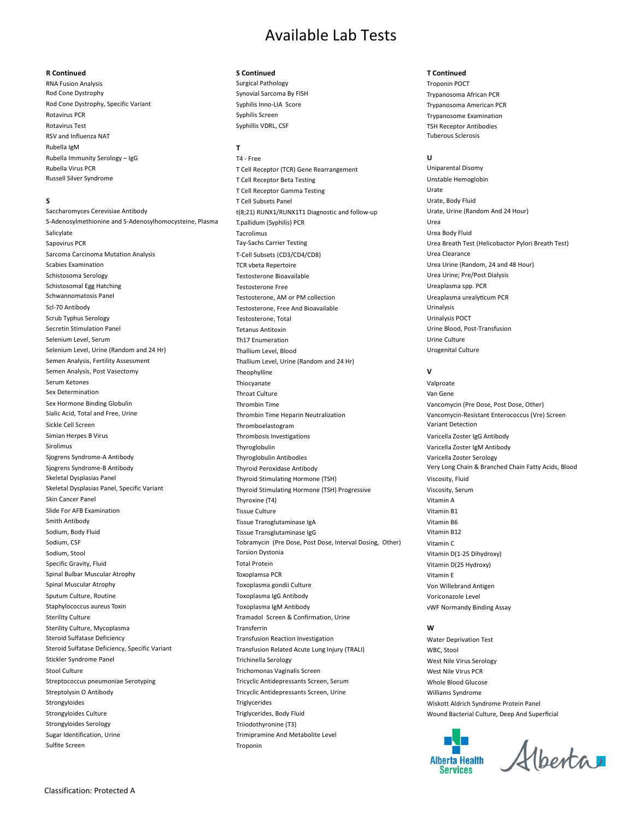RNA Fusion Analysis Surgical Pathology Troponin POCT Rod Cone Dystrophy **Synovial Sarcoma By FISH** Trypanosoma African PCR Trypanosoma African PCR Rod Cone Dystrophy, Specific Variant Syphilis Inno-LIA Score Trypanosoma American PCR Rotavirus PCR Trypanosome Examination Computer Syphilis Screen Syphilis Screen Trypanosome Examination Rotavirus Test **Syphillis VDRL, CSF** Test Syphillis VDRL, CSF TEST TEST TEST Receptor Antibodies RSV and Influenza NAT Tuberous Sclerosis Rubella IgM T Rubella Immunity Serology – IgG T4 - Free T4 - Free T4 - Free U

S-Adenosylmethionine and S-Adenosylhomocysteine, Plasma T.pallidum (Syphilis) PCR Urea Salicylate Salicylate School of the Salicylate School of the Salicylate School of the School of Tacrolimus Urea Body Fluid Sapovirus PCR Tay-Sachs Carrier Testing Tay-Sachs Carrier Testing Urea Breath Test (Helicobactor Pylori Breath Test) Sarcoma Carcinoma Mutation Analysis **Nation Analysis** T-Cell Subsets (CD3/CD4/CD8) and Mutation Clearance Scabies Examination **TER volume 2006** TCR vbeta Repertoire **TER volume 2006** Urea Urine (Random, 24 and 48 Hour) Schistosoma Serology **Testosterone Bioavailable** Testosterone Bioavailable **Urea Urine; Pre/Post Dialysis** Schistosomal Egg Hatching Testosterone Free Testosterone Free Testosterone Free Testosterone Pree Ureaplasma spp. PCR Schwannomatosis Panel Testosterone, AM or PM collection CR under the Ureaplasma urealyticum PCR Scl-70 Antibody Testosterone, Free And Bioavailable Urinalysis Scrub Typhus Serology **Testosterone, Total Community Community** Testosterone, Total Community Community Community Community Community Community Community Community Community Community Community Community Community Communit Secretin Stimulation Panel Tetanus Antitoxin Urine Blood, Post-Transfusion Selenium Level, Serum Th17 Enumeration Urine Culture Selenium Level, Urine (Random and 24 Hr) Thallium Level, Blood Selenium Level, Blood Urogenital Culture Semen Analysis, Fertility Assessment Thallium Level, Urine (Random and 24 Hr) Semen Analysis, Post Vasectomy **Theophylline** Theophylline **V** Serum Ketones **Thiocyanate** Thiocyanate **Thiocyanate** Valproate Valproate Sex Determination and the Community of the Culture Culture Community of the Community of the Community of the Community of the Community of the Community of the Community of the Community of the Community of the Community Sex Hormone Binding Globulin North America Christian Thrombin Time Vancomycin (Pre Dose, Post Dose, Other) Sialic Acid, Total and Free, Urine Thrombin Time Heparin Neutralization Vancomycin-Resistant Enterococcus (Vre) Screen Sickle Cell Screen Thromboelastogram Variant Detection Simian Herpes B Virus **Summan Herpes B Virus Comman Constructs** Thrombosis Investigations **Varicella Zoster IgG Antibody** Sirolimus **Sirolimus** Thyroglobulin Thyroglobulin Chronic Late and the Varicella Zoster IgM Antibody Sjogrens Syndrome-A Antibody Thyroglobulin Antibodies Varicella Zoster Serology Sjogrens Syndrome-B Antibody Thyroid Peroxidase Antibody Very Long Chain & Branched Chain Fatty Acids, Blood Skeletal Dysplasias Panel Thyroid Stimulating Hormone (TSH) viscosity, Fluid Skeletal Dysplasias Panel, Specific Variant Thyroid Stimulating Hormone (TSH) Progressive Viscosity, Serum Skin Cancer Panel Nitamin A Nitamin A Nitamin A Nitamin A Nitamin A Nitamin A Nitamin A Nitamin A Slide For AFB Examination **Tissue Culture** Tissue Culture **Vitamin B1** Vitamin B1 Smith Antibody **Tissue Transglutaminase IgA** Tissue Transglutaminase IgA Vitamin B6 Sodium, Body Fluid **Tissue Transglutaminase IgG** Collection Collection Collection Collection B12 Sodium, CSF **Tobramycin (Pre Dose, Post Dose, Interval Dosing, Other)** Vitamin C Sodium, Stool Sodium, Stool South American Control of Torsion Dystonia Control of Torsion Dystonia Vitamin D(1-25 Dihydroxy) Specific Gravity, Fluid Specific Gravity, Fluid Specific Gravity, Fluid Specific Gravity, Fluid Specific Gravity, Fluid Specific Gravity, Fluid Specific Gravity, Fluid Specific Gravity, Fluid Specific Gravity, Fluid Specif Spinal Bulbar Muscular Atrophy Toxoplamsa PCR Toxoplamsa PCR Vitamin E Spinal Muscular Atrophy Toxoplasma gondii Culture Von Willebrand Antigen Von Willebrand Antigen Sputum Culture, Routine **The Contract Contract Contract Contract Contract Contract Contract Contract Contract Contract Contract Contract Contract Contract Contract Contract Contract Toxoplasma IgG Antibody Contract Contrac** Staphylococcus aureus Toxin **Toxoplasma IgM Antibody** Chamber 2012 Toxoplasma IgM Antibody Chamber 2013 Toxoplasma IgM Antibody Sterility Culture Tramadol Screen & Confirmation, Urine Sterility Culture, Mycoplasma **W W Transferrin** Transferrin **W W** Steroid Sulfatase Deficiency<br>Steroid Sulfatase Deficiency, Specific Variant Transfusion Related Acute Lung Iniury (TRALI) WATE Stool WATE Stool Steroid Sulfatase Deficiency, Specific Variant Transfusion Related Acute Lung Injury (TRALI)<br>Stickler Syndrome Panel West Nile \ Trichinella Serology Stool Culture **Trichomonas Vaginalis Screen** Trichomonas Vaginalis Screen West Nile Virus PCR Streptococcus pneumoniae Serotyping example the Tricyclic Antidepressants Screen, Serum Whole Blood Glucose Streptolysin O Antibody Tricyclic Antidepressants Screen, Urine Williams Syndrome Strongyloides **Strongyloides** Microsoft Christian Triglycerides Triglycerides Microsoft Christian Microsoft Aldrich Syndrome Protein Panel Strongyloides Culture **Triglycerides, Body Fluid** Wound Bacterial Culture, Deep And Superficial Strongyloides Serology Triiodothyronine (T3) Sugar Identification, Urine Trimipramine And Metabolite Level Sulfite Screen Troponin

Rubella Virus PCR TERR T Cell Receptor (TCR) Gene Rearrangement Cell Receptor (TCR) Gene Rearrangement Cell Receptor (TCR) Gene Rearrangement Russell Silver Syndrome The Syndrome Cell Receptor Beta Testing Cell Receptor Beta Testing Cell Receptor Beta Testing Cell Receptor Beta Testing Cell Receptor Beta Testing Cell Receptor Beta Testing Cell Receptor Beta Test T Cell Receptor Gamma Testing Value of the Urate **S** T Cell Subsets Panel **Community Community Community Community** T Cell Subsets Panel **Community Community Community** Community Community Community Community Community Community Community Community Community Community Co Saccharomyces Cerevisiae Antibody **terms** the state of the state of the state of the state of the state of the terms of the state of the state of the terms of the terms of the state of the state of the state of the state o Trichinella Serology entity of the Panel Trichinella Serology West Nile Virus Serology

### R Continued S Continued T Continued